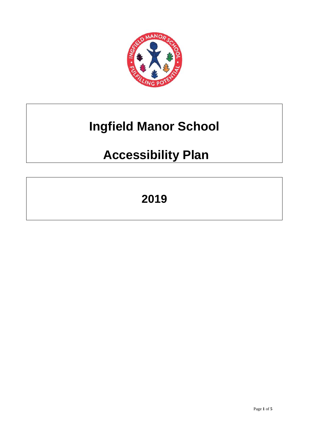

# **Ingfield Manor School**

## **Accessibility Plan**

## **2019**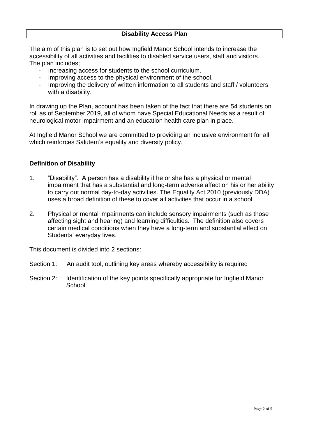The aim of this plan is to set out how Ingfield Manor School intends to increase the accessibility of all activities and facilities to disabled service users, staff and visitors. The plan includes;

- Increasing access for students to the school curriculum.
- Improving access to the physical environment of the school.
- Improving the delivery of written information to all students and staff / volunteers with a disability.

In drawing up the Plan, account has been taken of the fact that there are 54 students on roll as of September 2019, all of whom have Special Educational Needs as a result of neurological motor impairment and an education health care plan in place.

At Ingfield Manor School we are committed to providing an inclusive environment for all which reinforces Salutem's equality and diversity policy.

#### **Definition of Disability**

- 1. "Disability". A person has a disability if he or she has a physical or mental impairment that has a substantial and long-term adverse affect on his or her ability to carry out normal day-to-day activities. The Equality Act 2010 (previously DDA) uses a broad definition of these to cover all activities that occur in a school.
- 2. Physical or mental impairments can include sensory impairments (such as those affecting sight and hearing) and learning difficulties. The definition also covers certain medical conditions when they have a long-term and substantial effect on Students' everyday lives.

This document is divided into 2 sections:

Section 1: An audit tool, outlining key areas whereby accessibility is required

Section 2: Identification of the key points specifically appropriate for Ingfield Manor **School**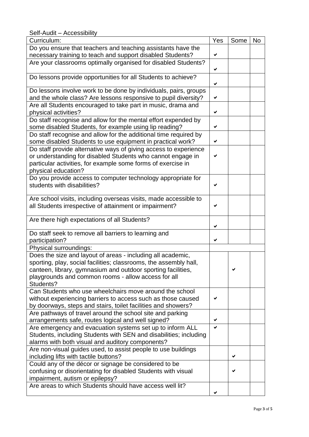Self-Audit – Accessibility

| Curriculum:                                                                          | Yes | Some | <b>No</b> |
|--------------------------------------------------------------------------------------|-----|------|-----------|
| Do you ensure that teachers and teaching assistants have the                         |     |      |           |
| necessary training to teach and support disabled Students?                           | ✔   |      |           |
| Are your classrooms optimally organised for disabled Students?                       |     |      |           |
|                                                                                      | ✔   |      |           |
| Do lessons provide opportunities for all Students to achieve?                        |     |      |           |
|                                                                                      | ✔   |      |           |
| Do lessons involve work to be done by individuals, pairs, groups                     |     |      |           |
| and the whole class? Are lessons responsive to pupil diversity?                      | ✔   |      |           |
| Are all Students encouraged to take part in music, drama and<br>physical activities? | ✔   |      |           |
| Do staff recognise and allow for the mental effort expended by                       |     |      |           |
| some disabled Students, for example using lip reading?                               | ✔   |      |           |
| Do staff recognise and allow for the additional time required by                     |     |      |           |
| some disabled Students to use equipment in practical work?                           | ✔   |      |           |
| Do staff provide alternative ways of giving access to experience                     |     |      |           |
| or understanding for disabled Students who cannot engage in                          |     |      |           |
| particular activities, for example some forms of exercise in                         |     |      |           |
| physical education?                                                                  |     |      |           |
| Do you provide access to computer technology appropriate for                         |     |      |           |
| students with disabilities?                                                          |     |      |           |
|                                                                                      |     |      |           |
| Are school visits, including overseas visits, made accessible to                     |     |      |           |
| all Students irrespective of attainment or impairment?                               |     |      |           |
|                                                                                      |     |      |           |
| Are there high expectations of all Students?                                         |     |      |           |
|                                                                                      | ✔   |      |           |
| Do staff seek to remove all barriers to learning and<br>participation?               | ✔   |      |           |
| Physical surroundings:                                                               |     |      |           |
| Does the size and layout of areas - including all academic,                          |     |      |           |
| sporting, play, social facilities; classrooms, the assembly hall,                    |     |      |           |
| canteen, library, gymnasium and outdoor sporting facilities,                         |     |      |           |
| playgrounds and common rooms - allow access for all                                  |     |      |           |
| Students?                                                                            |     |      |           |
| Can Students who use wheelchairs move around the school                              |     |      |           |
| without experiencing barriers to access such as those caused                         |     |      |           |
| by doorways, steps and stairs, toilet facilities and showers?                        |     |      |           |
| Are pathways of travel around the school site and parking                            |     |      |           |
| arrangements safe, routes logical and well signed?                                   |     |      |           |
| Are emergency and evacuation systems set up to inform ALL                            |     |      |           |
| Students, including Students with SEN and disabilities; including                    |     |      |           |
| alarms with both visual and auditory components?                                     |     |      |           |
| Are non-visual guides used, to assist people to use buildings                        |     |      |           |
| including lifts with tactile buttons?                                                |     | ✔    |           |
| Could any of the décor or signage be considered to be                                |     |      |           |
| confusing or disorientating for disabled Students with visual                        |     |      |           |
| impairment, autism or epilepsy?                                                      |     |      |           |
| Are areas to which Students should have access well lit?                             |     |      |           |
|                                                                                      | ✔   |      |           |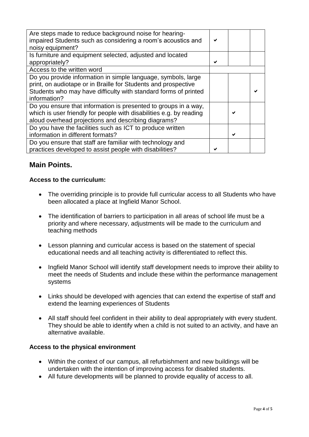| Are steps made to reduce background noise for hearing-<br>impaired Students such as considering a room's acoustics and<br>noisy equipment?                                                                         |   |  |
|--------------------------------------------------------------------------------------------------------------------------------------------------------------------------------------------------------------------|---|--|
| Is furniture and equipment selected, adjusted and located<br>appropriately?                                                                                                                                        |   |  |
| Access to the written word                                                                                                                                                                                         |   |  |
| Do you provide information in simple language, symbols, large<br>print, on audiotape or in Braille for Students and prospective<br>Students who may have difficulty with standard forms of printed<br>information? |   |  |
| Do you ensure that information is presented to groups in a way,<br>which is user friendly for people with disabilities e.g. by reading<br>aloud overhead projections and describing diagrams?                      | ✔ |  |
| Do you have the facilities such as ICT to produce written<br>information in different formats?                                                                                                                     |   |  |
| Do you ensure that staff are familiar with technology and<br>practices developed to assist people with disabilities?                                                                                               |   |  |

## **Main Points.**

## **Access to the curriculum:**

- The overriding principle is to provide full curricular access to all Students who have been allocated a place at Ingfield Manor School.
- The identification of barriers to participation in all areas of school life must be a priority and where necessary, adjustments will be made to the curriculum and teaching methods
- Lesson planning and curricular access is based on the statement of special educational needs and all teaching activity is differentiated to reflect this.
- Ingfield Manor School will identify staff development needs to improve their ability to meet the needs of Students and include these within the performance management systems
- Links should be developed with agencies that can extend the expertise of staff and extend the learning experiences of Students
- All staff should feel confident in their ability to deal appropriately with every student. They should be able to identify when a child is not suited to an activity, and have an alternative available.

### **Access to the physical environment**

- Within the context of our campus, all refurbishment and new buildings will be undertaken with the intention of improving access for disabled students.
- All future developments will be planned to provide equality of access to all.